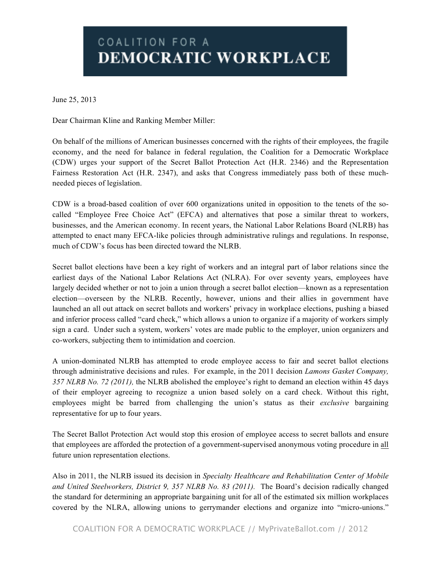## COALITION FOR A DEMOCRATIC WORKPLACE

June 25, 2013

Dear Chairman Kline and Ranking Member Miller:

On behalf of the millions of American businesses concerned with the rights of their employees, the fragile economy, and the need for balance in federal regulation, the Coalition for a Democratic Workplace (CDW) urges your support of the Secret Ballot Protection Act (H.R. 2346) and the Representation Fairness Restoration Act (H.R. 2347), and asks that Congress immediately pass both of these muchneeded pieces of legislation.

CDW is a broad-based coalition of over 600 organizations united in opposition to the tenets of the socalled "Employee Free Choice Act" (EFCA) and alternatives that pose a similar threat to workers, businesses, and the American economy. In recent years, the National Labor Relations Board (NLRB) has attempted to enact many EFCA-like policies through administrative rulings and regulations. In response, much of CDW's focus has been directed toward the NLRB.

Secret ballot elections have been a key right of workers and an integral part of labor relations since the earliest days of the National Labor Relations Act (NLRA). For over seventy years, employees have largely decided whether or not to join a union through a secret ballot election—known as a representation election—overseen by the NLRB. Recently, however, unions and their allies in government have launched an all out attack on secret ballots and workers' privacy in workplace elections, pushing a biased and inferior process called "card check," which allows a union to organize if a majority of workers simply sign a card. Under such a system, workers' votes are made public to the employer, union organizers and co-workers, subjecting them to intimidation and coercion.

A union-dominated NLRB has attempted to erode employee access to fair and secret ballot elections through administrative decisions and rules. For example, in the 2011 decision *Lamons Gasket Company, 357 NLRB No. 72 (2011),* the NLRB abolished the employee's right to demand an election within 45 days of their employer agreeing to recognize a union based solely on a card check. Without this right, employees might be barred from challenging the union's status as their *exclusive* bargaining representative for up to four years.

The Secret Ballot Protection Act would stop this erosion of employee access to secret ballots and ensure that employees are afforded the protection of a government-supervised anonymous voting procedure in all future union representation elections.

Also in 2011, the NLRB issued its decision in *Specialty Healthcare and Rehabilitation Center of Mobile and United Steelworkers, District 9, 357 NLRB No. 83 (2011).* The Board's decision radically changed the standard for determining an appropriate bargaining unit for all of the estimated six million workplaces covered by the NLRA, allowing unions to gerrymander elections and organize into "micro-unions."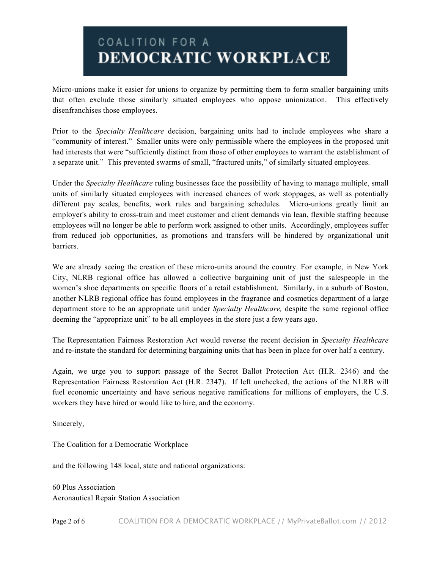## COALITION FOR A DEMOCRATIC WORKPLACE

Micro-unions make it easier for unions to organize by permitting them to form smaller bargaining units that often exclude those similarly situated employees who oppose unionization. This effectively disenfranchises those employees.

Prior to the *Specialty Healthcare* decision, bargaining units had to include employees who share a "community of interest." Smaller units were only permissible where the employees in the proposed unit had interests that were "sufficiently distinct from those of other employees to warrant the establishment of a separate unit." This prevented swarms of small, "fractured units," of similarly situated employees.

Under the *Specialty Healthcare* ruling businesses face the possibility of having to manage multiple, small units of similarly situated employees with increased chances of work stoppages, as well as potentially different pay scales, benefits, work rules and bargaining schedules. Micro-unions greatly limit an employer's ability to cross-train and meet customer and client demands via lean, flexible staffing because employees will no longer be able to perform work assigned to other units. Accordingly, employees suffer from reduced job opportunities, as promotions and transfers will be hindered by organizational unit barriers.

We are already seeing the creation of these micro-units around the country. For example, in New York City, NLRB regional office has allowed a collective bargaining unit of just the salespeople in the women's shoe departments on specific floors of a retail establishment. Similarly, in a suburb of Boston, another NLRB regional office has found employees in the fragrance and cosmetics department of a large department store to be an appropriate unit under *Specialty Healthcare,* despite the same regional office deeming the "appropriate unit" to be all employees in the store just a few years ago.

The Representation Fairness Restoration Act would reverse the recent decision in *Specialty Healthcare* and re-instate the standard for determining bargaining units that has been in place for over half a century.

Again, we urge you to support passage of the Secret Ballot Protection Act (H.R. 2346) and the Representation Fairness Restoration Act (H.R. 2347). If left unchecked, the actions of the NLRB will fuel economic uncertainty and have serious negative ramifications for millions of employers, the U.S. workers they have hired or would like to hire, and the economy.

Sincerely,

The Coalition for a Democratic Workplace

and the following 148 local, state and national organizations:

60 Plus Association Aeronautical Repair Station Association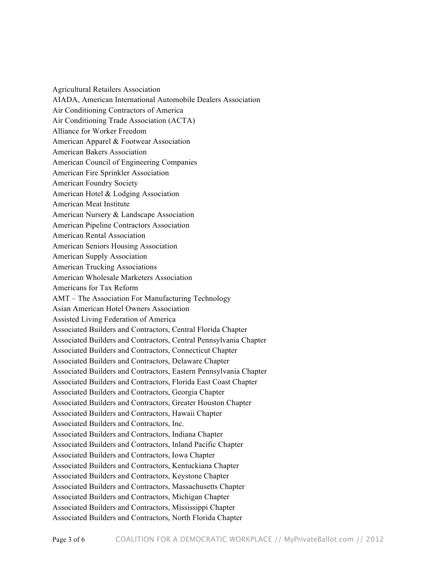Agricultural Retailers Association AIADA, American International Automobile Dealers Association Air Conditioning Contractors of America Air Conditioning Trade Association (ACTA) Alliance for Worker Freedom American Apparel & Footwear Association American Bakers Association American Council of Engineering Companies American Fire Sprinkler Association American Foundry Society American Hotel & Lodging Association American Meat Institute American Nursery & Landscape Association American Pipeline Contractors Association American Rental Association American Seniors Housing Association American Supply Association American Trucking Associations American Wholesale Marketers Association Americans for Tax Reform AMT – The Association For Manufacturing Technology Asian American Hotel Owners Association Assisted Living Federation of America Associated Builders and Contractors, Central Florida Chapter Associated Builders and Contractors, Central Pennsylvania Chapter Associated Builders and Contractors, Connecticut Chapter Associated Builders and Contractors, Delaware Chapter Associated Builders and Contractors, Eastern Pennsylvania Chapter Associated Builders and Contractors, Florida East Coast Chapter Associated Builders and Contractors, Georgia Chapter Associated Builders and Contractors, Greater Houston Chapter Associated Builders and Contractors, Hawaii Chapter Associated Builders and Contractors, Inc. Associated Builders and Contractors, Indiana Chapter Associated Builders and Contractors, Inland Pacific Chapter Associated Builders and Contractors, Iowa Chapter Associated Builders and Contractors, Kentuckiana Chapter Associated Builders and Contractors, Keystone Chapter Associated Builders and Contractors, Massachusetts Chapter Associated Builders and Contractors, Michigan Chapter Associated Builders and Contractors, Mississippi Chapter Associated Builders and Contractors, North Florida Chapter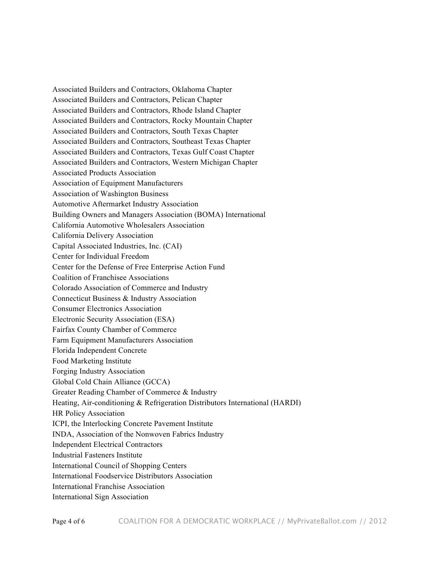Associated Builders and Contractors, Oklahoma Chapter Associated Builders and Contractors, Pelican Chapter Associated Builders and Contractors, Rhode Island Chapter Associated Builders and Contractors, Rocky Mountain Chapter Associated Builders and Contractors, South Texas Chapter Associated Builders and Contractors, Southeast Texas Chapter Associated Builders and Contractors, Texas Gulf Coast Chapter Associated Builders and Contractors, Western Michigan Chapter Associated Products Association Association of Equipment Manufacturers Association of Washington Business Automotive Aftermarket Industry Association Building Owners and Managers Association (BOMA) International California Automotive Wholesalers Association California Delivery Association Capital Associated Industries, Inc. (CAI) Center for Individual Freedom Center for the Defense of Free Enterprise Action Fund Coalition of Franchisee Associations Colorado Association of Commerce and Industry Connecticut Business & Industry Association Consumer Electronics Association Electronic Security Association (ESA) Fairfax County Chamber of Commerce Farm Equipment Manufacturers Association Florida Independent Concrete Food Marketing Institute Forging Industry Association Global Cold Chain Alliance (GCCA) Greater Reading Chamber of Commerce & Industry Heating, Air-conditioning & Refrigeration Distributors International (HARDI) HR Policy Association ICPI, the Interlocking Concrete Pavement Institute INDA, Association of the Nonwoven Fabrics Industry Independent Electrical Contractors Industrial Fasteners Institute International Council of Shopping Centers International Foodservice Distributors Association International Franchise Association International Sign Association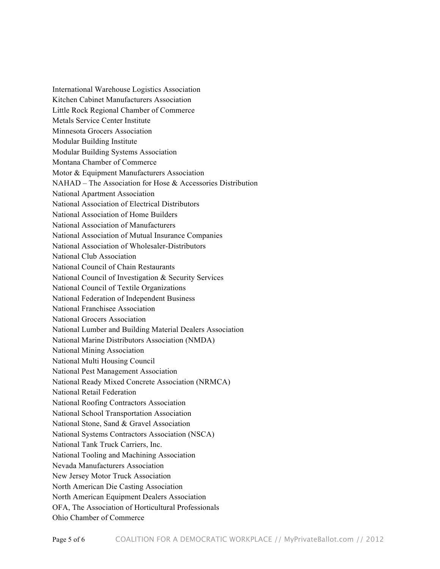International Warehouse Logistics Association Kitchen Cabinet Manufacturers Association Little Rock Regional Chamber of Commerce Metals Service Center Institute Minnesota Grocers Association Modular Building Institute Modular Building Systems Association Montana Chamber of Commerce Motor & Equipment Manufacturers Association NAHAD – The Association for Hose & Accessories Distribution National Apartment Association National Association of Electrical Distributors National Association of Home Builders National Association of Manufacturers National Association of Mutual Insurance Companies National Association of Wholesaler-Distributors National Club Association National Council of Chain Restaurants National Council of Investigation & Security Services National Council of Textile Organizations National Federation of Independent Business National Franchisee Association National Grocers Association National Lumber and Building Material Dealers Association National Marine Distributors Association (NMDA) National Mining Association National Multi Housing Council National Pest Management Association National Ready Mixed Concrete Association (NRMCA) National Retail Federation National Roofing Contractors Association National School Transportation Association National Stone, Sand & Gravel Association National Systems Contractors Association (NSCA) National Tank Truck Carriers, Inc. National Tooling and Machining Association Nevada Manufacturers Association New Jersey Motor Truck Association North American Die Casting Association North American Equipment Dealers Association OFA, The Association of Horticultural Professionals Ohio Chamber of Commerce